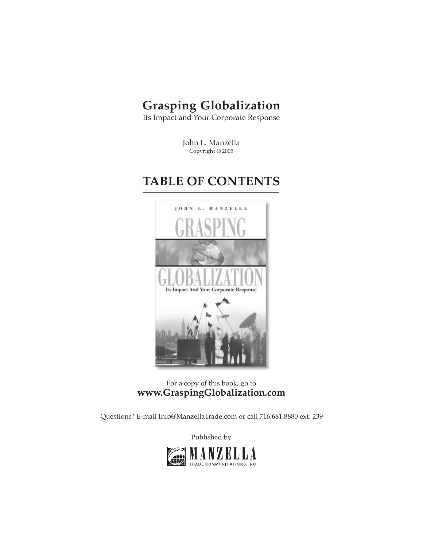## **Grasping Globalization**

Its Impact and Your Corporate Response

John L. Manzella Copyright © 2005

## **TABLE OF CONTENTS**



For a copy of this book, go to **[www.GraspingGlobalization.com](http://GraspingGlobalization.com)**

[Questions? E-mail Info@ManzellaTrade.com](http://www.GraspingGlobalization.com/Tools/ContactManager/frontend/contact_register.asp?reset=1) or call 716.681.8880 ext. 239

[Published by](http://www.ManzellaTrade.com)

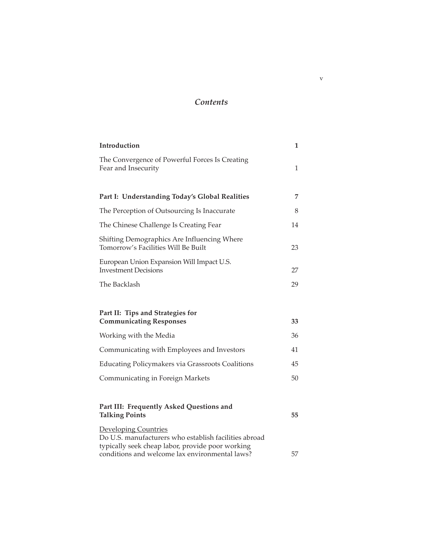## *Contents*

| Introduction                                                                                                                             | 1            |
|------------------------------------------------------------------------------------------------------------------------------------------|--------------|
| The Convergence of Powerful Forces Is Creating<br>Fear and Insecurity                                                                    | $\mathbf{1}$ |
|                                                                                                                                          |              |
| Part I: Understanding Today's Global Realities                                                                                           | 7            |
| The Perception of Outsourcing Is Inaccurate                                                                                              | 8            |
| The Chinese Challenge Is Creating Fear                                                                                                   | 14           |
| Shifting Demographics Are Influencing Where<br>Tomorrow's Facilities Will Be Built                                                       | 23           |
| European Union Expansion Will Impact U.S.<br><b>Investment Decisions</b>                                                                 | 27           |
| The Backlash                                                                                                                             | 29           |
|                                                                                                                                          |              |
| Part II: Tips and Strategies for<br><b>Communicating Responses</b>                                                                       | 33           |
| Working with the Media                                                                                                                   | 36           |
| Communicating with Employees and Investors                                                                                               | 41           |
| <b>Educating Policymakers via Grassroots Coalitions</b>                                                                                  | 45           |
| Communicating in Foreign Markets                                                                                                         | 50           |
|                                                                                                                                          |              |
| Part III: Frequently Asked Questions and<br><b>Talking Points</b>                                                                        | 55           |
| <b>Developing Countries</b><br>Do U.S. manufacturers who establish facilities abroad<br>typically seek cheap labor, provide poor working |              |
| conditions and welcome lax environmental laws?                                                                                           | 57           |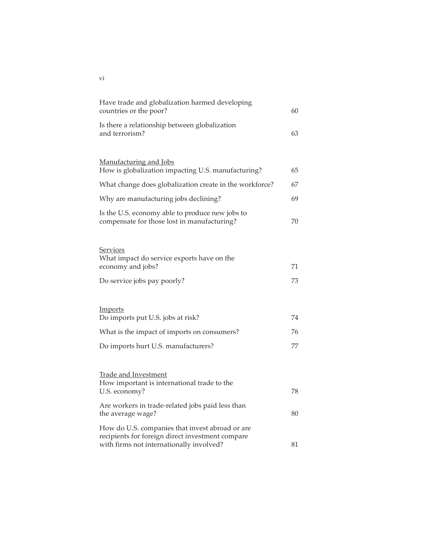| Have trade and globalization harmed developing<br>countries or the poor?                                                                        | 60 |
|-------------------------------------------------------------------------------------------------------------------------------------------------|----|
| Is there a relationship between globalization<br>and terrorism?                                                                                 | 63 |
|                                                                                                                                                 |    |
| Manufacturing and Jobs<br>How is globalization impacting U.S. manufacturing?                                                                    | 65 |
| What change does globalization create in the workforce?                                                                                         | 67 |
| Why are manufacturing jobs declining?                                                                                                           | 69 |
| Is the U.S. economy able to produce new jobs to<br>compensate for those lost in manufacturing?                                                  | 70 |
|                                                                                                                                                 |    |
| Services<br>What impact do service exports have on the<br>economy and jobs?                                                                     | 71 |
| Do service jobs pay poorly?                                                                                                                     | 73 |
|                                                                                                                                                 |    |
| Imports<br>Do imports put U.S. jobs at risk?                                                                                                    | 74 |
| What is the impact of imports on consumers?                                                                                                     | 76 |
| Do imports hurt U.S. manufacturers?                                                                                                             | 77 |
|                                                                                                                                                 |    |
| <b>Trade and Investment</b><br>How important is international trade to the<br>U.S. economy?                                                     | 78 |
|                                                                                                                                                 |    |
| Are workers in trade-related jobs paid less than<br>the average wage?                                                                           | 80 |
| How do U.S. companies that invest abroad or are<br>recipients for foreign direct investment compare<br>with firms not internationally involved? | 81 |
|                                                                                                                                                 |    |

vi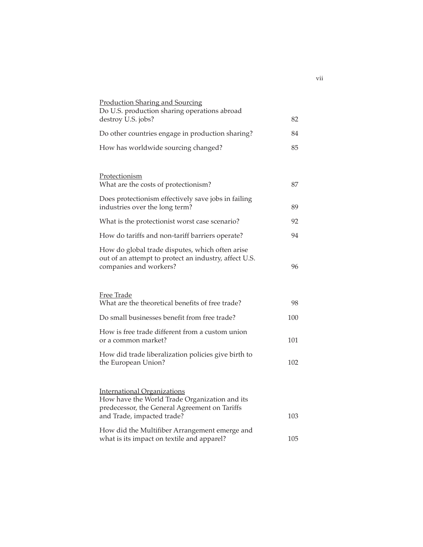| <b>Production Sharing and Sourcing</b><br>Do U.S. production sharing operations abroad                                               |     |
|--------------------------------------------------------------------------------------------------------------------------------------|-----|
| destroy U.S. jobs?                                                                                                                   | 82  |
| Do other countries engage in production sharing?                                                                                     | 84  |
| How has worldwide sourcing changed?                                                                                                  | 85  |
|                                                                                                                                      |     |
| Protectionism<br>What are the costs of protectionism?                                                                                | 87  |
| Does protectionism effectively save jobs in failing<br>industries over the long term?                                                | 89  |
| What is the protectionist worst case scenario?                                                                                       | 92  |
| How do tariffs and non-tariff barriers operate?                                                                                      | 94  |
| How do global trade disputes, which often arise<br>out of an attempt to protect an industry, affect U.S.<br>companies and workers?   | 96  |
|                                                                                                                                      |     |
| Free Trade<br>What are the theoretical benefits of free trade?                                                                       | 98  |
| Do small businesses benefit from free trade?                                                                                         | 100 |
| How is free trade different from a custom union<br>or a common market?                                                               | 101 |
| How did trade liberalization policies give birth to<br>the European Union?                                                           | 102 |
|                                                                                                                                      |     |
| <b>International Organizations</b><br>How have the World Trade Organization and its<br>predecessor, the General Agreement on Tariffs |     |
| and Trade, impacted trade?                                                                                                           | 103 |
| How did the Multifiber Arrangement emerge and<br>what is its impact on textile and apparel?                                          | 105 |